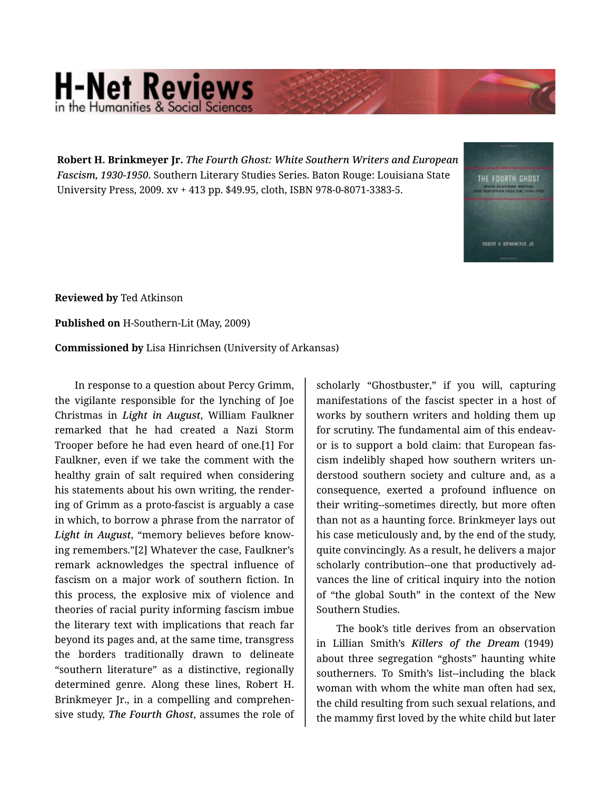## **H-Net Reviews** in the Humanities & Social Scie

**Robert H. Brinkmeyer Jr.** *The Fourth Ghost: White Southern Writers and European Fascism, 1930-1950.* Southern Literary Studies Series. Baton Rouge: Louisiana State University Press, 2009. xv + 413 pp. \$49.95, cloth, ISBN 978-0-8071-3383-5.

THE FOURTH GHOST ROBERT H. BRINKMEYER, JR

**Reviewed by** Ted Atkinson

**Published on** H-Southern-Lit (May, 2009)

**Commissioned by** Lisa Hinrichsen (University of Arkansas)

In response to a question about Percy Grimm, the vigilante responsible for the lynching of Joe Christmas in *Light in August*, William Faulkner remarked that he had created a Nazi Storm Trooper before he had even heard of one.[1] For Faulkner, even if we take the comment with the healthy grain of salt required when considering his statements about his own writing, the render‐ ing of Grimm as a proto-fascist is arguably a case in which, to borrow a phrase from the narrator of *Light in August*, "memory believes before know‐ ing remembers."[2] Whatever the case, Faulkner's remark acknowledges the spectral influence of fascism on a major work of southern fiction. In this process, the explosive mix of violence and theories of racial purity informing fascism imbue the literary text with implications that reach far beyond its pages and, at the same time, transgress the borders traditionally drawn to delineate "southern literature" as a distinctive, regionally determined genre. Along these lines, Robert H. Brinkmeyer Jr., in a compelling and comprehen‐ sive study, *The Fourth Ghost*, assumes the role of

scholarly "Ghostbuster," if you will, capturing manifestations of the fascist specter in a host of works by southern writers and holding them up for scrutiny. The fundamental aim of this endeavor is to support a bold claim: that European fas‐ cism indelibly shaped how southern writers un‐ derstood southern society and culture and, as a consequence, exerted a profound influence on their writing--sometimes directly, but more often than not as a haunting force. Brinkmeyer lays out his case meticulously and, by the end of the study, quite convincingly. As a result, he delivers a major scholarly contribution--one that productively ad‐ vances the line of critical inquiry into the notion of "the global South" in the context of the New Southern Studies.

The book's title derives from an observation in Lillian Smith's *Killers of the Dream* (1949) about three segregation "ghosts" haunting white southerners. To Smith's list--including the black woman with whom the white man often had sex, the child resulting from such sexual relations, and the mammy first loved by the white child but later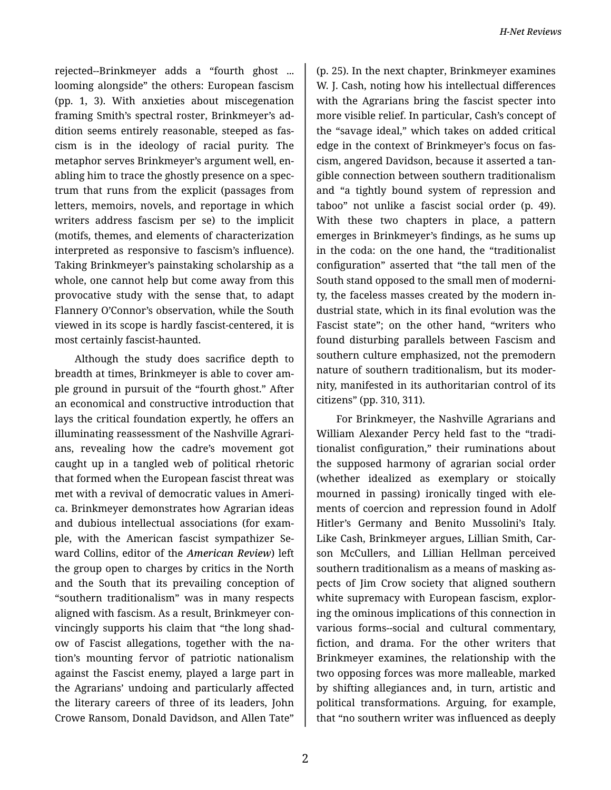rejected--Brinkmeyer adds a "fourth ghost ... looming alongside" the others: European fascism (pp. 1, 3). With anxieties about miscegenation framing Smith's spectral roster, Brinkmeyer's ad‐ dition seems entirely reasonable, steeped as fas‐ cism is in the ideology of racial purity. The metaphor serves Brinkmeyer's argument well, en‐ abling him to trace the ghostly presence on a spec‐ trum that runs from the explicit (passages from letters, memoirs, novels, and reportage in which writers address fascism per se) to the implicit (motifs, themes, and elements of characterization interpreted as responsive to fascism's influence). Taking Brinkmeyer's painstaking scholarship as a whole, one cannot help but come away from this provocative study with the sense that, to adapt Flannery O'Connor's observation, while the South viewed in its scope is hardly fascist-centered, it is most certainly fascist-haunted.

Although the study does sacrifice depth to breadth at times, Brinkmeyer is able to cover am‐ ple ground in pursuit of the "fourth ghost." After an economical and constructive introduction that lays the critical foundation expertly, he offers an illuminating reassessment of the Nashville Agrari‐ ans, revealing how the cadre's movement got caught up in a tangled web of political rhetoric that formed when the European fascist threat was met with a revival of democratic values in Ameri‐ ca. Brinkmeyer demonstrates how Agrarian ideas and dubious intellectual associations (for exam‐ ple, with the American fascist sympathizer Se‐ ward Collins, editor of the *American Review*) left the group open to charges by critics in the North and the South that its prevailing conception of "southern traditionalism" was in many respects aligned with fascism. As a result, Brinkmeyer con‐ vincingly supports his claim that "the long shad‐ ow of Fascist allegations, together with the na‐ tion's mounting fervor of patriotic nationalism against the Fascist enemy, played a large part in the Agrarians' undoing and particularly affected the literary careers of three of its leaders, John Crowe Ransom, Donald Davidson, and Allen Tate"

(p. 25). In the next chapter, Brinkmeyer examines W. J. Cash, noting how his intellectual differences with the Agrarians bring the fascist specter into more visible relief. In particular, Cash's concept of the "savage ideal," which takes on added critical edge in the context of Brinkmeyer's focus on fas‐ cism, angered Davidson, because it asserted a tan‐ gible connection between southern traditionalism and "a tightly bound system of repression and taboo" not unlike a fascist social order (p. 49). With these two chapters in place, a pattern emerges in Brinkmeyer's findings, as he sums up in the coda: on the one hand, the "traditionalist configuration" asserted that "the tall men of the South stand opposed to the small men of moderni‐ ty, the faceless masses created by the modern in‐ dustrial state, which in its final evolution was the Fascist state"; on the other hand, "writers who found disturbing parallels between Fascism and southern culture emphasized, not the premodern nature of southern traditionalism, but its moder‐ nity, manifested in its authoritarian control of its citizens" (pp. 310, 311).

For Brinkmeyer, the Nashville Agrarians and William Alexander Percy held fast to the "tradi‐ tionalist configuration," their ruminations about the supposed harmony of agrarian social order (whether idealized as exemplary or stoically mourned in passing) ironically tinged with ele‐ ments of coercion and repression found in Adolf Hitler's Germany and Benito Mussolini's Italy. Like Cash, Brinkmeyer argues, Lillian Smith, Car‐ son McCullers, and Lillian Hellman perceived southern traditionalism as a means of masking as‐ pects of Jim Crow society that aligned southern white supremacy with European fascism, explor‐ ing the ominous implications of this connection in various forms--social and cultural commentary, fiction, and drama. For the other writers that Brinkmeyer examines, the relationship with the two opposing forces was more malleable, marked by shifting allegiances and, in turn, artistic and political transformations. Arguing, for example, that "no southern writer was influenced as deeply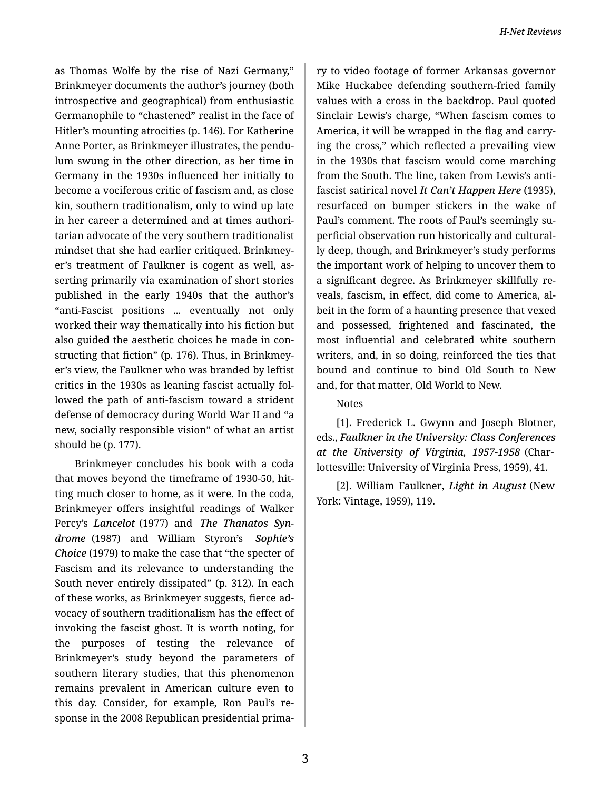as Thomas Wolfe by the rise of Nazi Germany," Brinkmeyer documents the author's journey (both introspective and geographical) from enthusiastic Germanophile to "chastened" realist in the face of Hitler's mounting atrocities (p. 146). For Katherine Anne Porter, as Brinkmeyer illustrates, the pendu‐ lum swung in the other direction, as her time in Germany in the 1930s influenced her initially to become a vociferous critic of fascism and, as close kin, southern traditionalism, only to wind up late in her career a determined and at times authori‐ tarian advocate of the very southern traditionalist mindset that she had earlier critiqued. Brinkmey‐ er's treatment of Faulkner is cogent as well, as‐ serting primarily via examination of short stories published in the early 1940s that the author's "anti-Fascist positions ... eventually not only worked their way thematically into his fiction but also guided the aesthetic choices he made in con‐ structing that fiction" (p. 176). Thus, in Brinkmey‐ er's view, the Faulkner who was branded by leftist critics in the 1930s as leaning fascist actually fol‐ lowed the path of anti-fascism toward a strident defense of democracy during World War II and "a new, socially responsible vision" of what an artist should be (p. 177).

Brinkmeyer concludes his book with a coda that moves beyond the timeframe of 1930-50, hit‐ ting much closer to home, as it were. In the coda, Brinkmeyer offers insightful readings of Walker Percy's *Lancelot* (1977) and *The Thanatos Syn‐ drome* (1987) and William Styron's *Sophie's Choice* (1979) to make the case that "the specter of Fascism and its relevance to understanding the South never entirely dissipated" (p. 312). In each of these works, as Brinkmeyer suggests, fierce ad‐ vocacy of southern traditionalism has the effect of invoking the fascist ghost. It is worth noting, for the purposes of testing the relevance of Brinkmeyer's study beyond the parameters of southern literary studies, that this phenomenon remains prevalent in American culture even to this day. Consider, for example, Ron Paul's re‐ sponse in the 2008 Republican presidential prima‐

ry to video footage of former Arkansas governor Mike Huckabee defending southern-fried family values with a cross in the backdrop. Paul quoted Sinclair Lewis's charge, "When fascism comes to America, it will be wrapped in the flag and carry‐ ing the cross," which reflected a prevailing view in the 1930s that fascism would come marching from the South. The line, taken from Lewis's antifascist satirical novel *It Can't Happen Here* (1935), resurfaced on bumper stickers in the wake of Paul's comment. The roots of Paul's seemingly su‐ perficial observation run historically and cultural‐ ly deep, though, and Brinkmeyer's study performs the important work of helping to uncover them to a significant degree. As Brinkmeyer skillfully re‐ veals, fascism, in effect, did come to America, al‐ beit in the form of a haunting presence that vexed and possessed, frightened and fascinated, the most influential and celebrated white southern writers, and, in so doing, reinforced the ties that bound and continue to bind Old South to New and, for that matter, Old World to New.

Notes

[1]. Frederick L. Gwynn and Joseph Blotner, eds., *Faulkner in the University: Class Conferences at the University of Virginia, 1957-1958* (Char‐ lottesville: University of Virginia Press, 1959), 41.

[2]. William Faulkner, *Light in August* (New York: Vintage, 1959), 119.